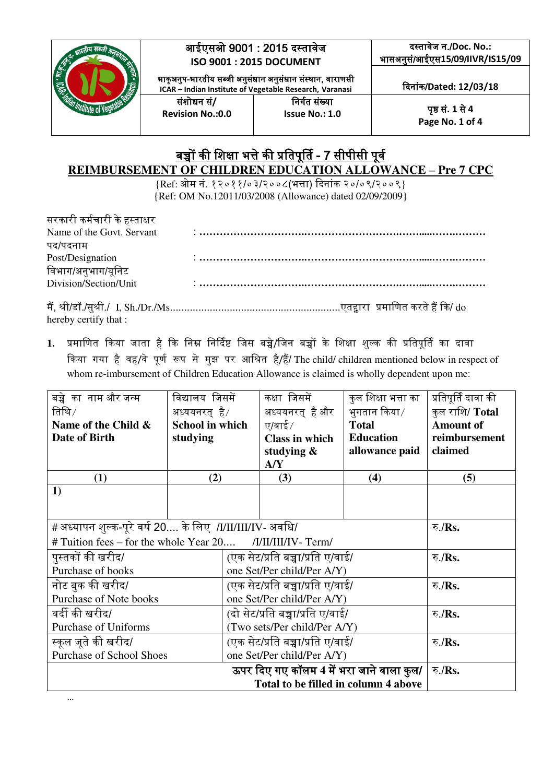

## <u>बच्चों की शिक्षा भत्ते की प्रतिपूर्ति - 7 सीपीसी पूर्व</u> **REIMBURSEMENT OF CHILDREN EDUCATION ALLOWANCE – Pre 7 CPC**

{Ref: ओम नं. १२०११/०३/२००८(भत्ता) ददनांक २०/०९/२००९} {Ref: OM No.12011/03/2008 (Allowance) dated 02/09/2009}

| सरकारी कर्मचारी के हस्ताक्षर                                                                                                                                                                                                                                                                                   |  |                             |
|----------------------------------------------------------------------------------------------------------------------------------------------------------------------------------------------------------------------------------------------------------------------------------------------------------------|--|-----------------------------|
| Name of the Govt. Servant                                                                                                                                                                                                                                                                                      |  |                             |
| पद/पदनाम                                                                                                                                                                                                                                                                                                       |  |                             |
| Post/Designation                                                                                                                                                                                                                                                                                               |  |                             |
| विभाग/अनुभाग/यूनिट                                                                                                                                                                                                                                                                                             |  |                             |
| Division/Section/Unit                                                                                                                                                                                                                                                                                          |  |                             |
| $\mathbf{a}^*$ . Or $\mathbf{b}$ , $\mathbf{c}$ , $\mathbf{c}$ , $\mathbf{c}$ , $\mathbf{c}$ , $\mathbf{c}$ , $\mathbf{c}$ , $\mathbf{c}$ , $\mathbf{c}$ , $\mathbf{c}$ , $\mathbf{c}$ , $\mathbf{c}$ , $\mathbf{c}$ , $\mathbf{c}$ , $\mathbf{c}$ , $\mathbf{c}$ , $\mathbf{c}$ , $\mathbf{c}$ , $\mathbf{c}$ |  | $\sim$ $\sim$ $\sim$ $\sim$ |

मैं, श्री/डॉ./सुश्री./ I, Sh./Dr./Ms............................................................एतद्द्वारा प्रमानणत करते हैं दक/ do hereby certify that :

1. प्रमाणित किया जाता है कि निम्न निर्दिष्ट जिस बच्चे/जिन बच्चों के शिक्षा शुल्क की प्रतिपूर्ति का दावा दकया र्या है वह/वे पूणग रूप से मुझ पर आनश्रत है/हैं/ The child/ children mentioned below in respect of whom re-imbursement of Children Education Allowance is claimed is wholly dependent upon me:

| बच्चे का नाम और जन्म                                           | विद्यालय जिसमें                  |  | कक्षा जिसमें                             | कुल शिक्षा भत्ता का | प्रतिपूर्ति दावा की |
|----------------------------------------------------------------|----------------------------------|--|------------------------------------------|---------------------|---------------------|
| तिथि $/$                                                       | अध्ययनरत् है/                    |  | अध्ययनरत् है और                          | भगतान किया ⁄        | कुल राशि/ Total     |
| Name of the Child &                                            | <b>School in which</b>           |  | ए/वाई $/$                                | <b>Total</b>        | <b>Amount of</b>    |
| Date of Birth                                                  | studying                         |  | <b>Class in which</b>                    | <b>Education</b>    | reimbursement       |
|                                                                |                                  |  | studying $\&$                            | allowance paid      | claimed             |
|                                                                |                                  |  | A/Y                                      |                     |                     |
| (1)                                                            | (2)                              |  | (3)                                      | (4)                 | (5)                 |
| 1)                                                             |                                  |  |                                          |                     |                     |
|                                                                |                                  |  |                                          |                     |                     |
| # अध्यापन शुल्क-पूरे वर्ष 20 के लिए  /I/II/III/IV- अवधि/       |                                  |  | रु./Rs.                                  |                     |                     |
| $\#$ Tuition fees – for the whole Year 20 /I/II/III/IV - Term/ |                                  |  |                                          |                     |                     |
| पुस्तकों की खरीद/                                              | (एक सेट/प्रति बच्चा/प्रति ए/वाई/ |  | रु./Rs.                                  |                     |                     |
| Purchase of books                                              | one Set/Per child/Per A/Y)       |  |                                          |                     |                     |
| नोट बुक की खरीद/                                               | (एक सेट/प्रति बच्चा/प्रति ए/वाई/ |  | रु./Rs.                                  |                     |                     |
| Purchase of Note books                                         | one Set/Per child/Per A/Y)       |  |                                          |                     |                     |
| वर्दी की खरीद/                                                 | (दो सेट/प्रति बच्चा/प्रति ए/वाई/ |  | रु./Rs.                                  |                     |                     |
| <b>Purchase of Uniforms</b>                                    | (Two sets/Per child/Per A/Y)     |  |                                          |                     |                     |
| स्कूल जूते की खरीद/                                            | (एक सेट/प्रति बच्चा/प्रति ए/वाई/ |  | रु./Rs.                                  |                     |                     |
| <b>Purchase of School Shoes</b><br>one Set/Per child/Per A/Y)  |                                  |  |                                          |                     |                     |
|                                                                |                                  |  | ऊपर दिए गए कॉलम 4 में भरा जाने वाला कुल/ |                     | रु./Rs.             |
|                                                                |                                  |  | Total to be filled in column 4 above     |                     |                     |

…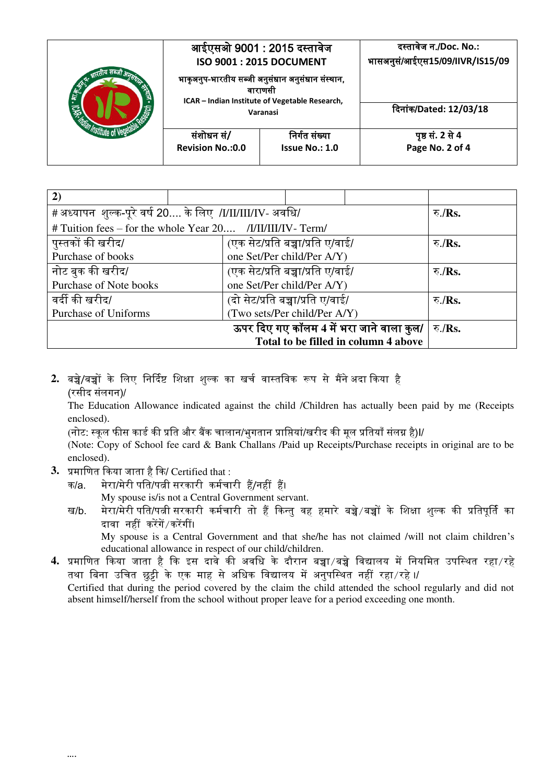|                       | आईएसओ 9001 : 2015 दस्तावेज<br><b>ISO 9001: 2015 DOCUMENT</b>                                                              |                | दस्तावेज न./Doc. No.:<br>भासअनुसं/आईएस15/09/IIVR/IS15/09 |
|-----------------------|---------------------------------------------------------------------------------------------------------------------------|----------------|----------------------------------------------------------|
| <b>26-25 IDE</b><br>ร | भाकृअनुप-भारतीय सब्जी अनुसंधान अनुसंधान संस्थान,<br>वाराणसो<br>ICAR - Indian Institute of Vegetable Research,<br>Varanasi |                |                                                          |
|                       |                                                                                                                           |                | दिनांक/Dated: 12/03/18                                   |
|                       | संशोधन सं/                                                                                                                | निर्गत संख्या  | पृष्ठ सं. 2 से 4                                         |
|                       | <b>Revision No.: 0.0</b>                                                                                                  | Issue No.: 1.0 | Page No. 2 of 4                                          |

| 2)                                                          |                                          |                     |
|-------------------------------------------------------------|------------------------------------------|---------------------|
| #अध्यापन शुल्क-पूरे वर्ष 20 के लिए /I/II/III/IV- अवधि/      | रु / $\mathbf{Rs.}$                      |                     |
| # Tuition fees – for the whole Year 20 /I/II/III/IV - Term/ |                                          |                     |
| पुस्तकों की खरीद/                                           | (एक सेट/प्रति बच्चा/प्रति ए/वाई/         | रु $/Rs$ .          |
| Purchase of books                                           | one Set/Per child/Per A/Y)               |                     |
| नोट बुक की खरीद/                                            | (एक सेट/प्रति बच्चा/प्रति ए/वाई/         | रु / $\mathbf{Rs.}$ |
| Purchase of Note books                                      | one Set/Per child/Per A/Y)               |                     |
| वर्दी की खरीद/                                              | (दो सेट/प्रति बच्चा/प्रति ए/वाई/         | रु $/Rs$ .          |
| Purchase of Uniforms                                        | (Two sets/Per child/Per A/Y)             |                     |
|                                                             | ऊपर दिए गए कॉलम 4 में भरा जाने वाला कुल/ | रु./ $Rs.$          |
|                                                             | Total to be filled in column 4 above     |                     |

2. बच्चे/बच्चों के लिए निर्दिष्ट शिक्षा शुल्क का खर्च वास्तविक रूप से मैंने अदा किया है (रसीद संलर्न)/

The Education Allowance indicated against the child /Children has actually been paid by me (Receipts enclosed).

(नोट: स्कूल फीस कार्ड की प्रति और बैंक चालान/भुगतान प्राप्तियां/खरीद की मूल प्रतियाँ संलग्न है)I/

(Note: Copy of School fee card & Bank Challans /Paid up Receipts/Purchase receipts in original are to be enclosed).

- **3.** प्रमानणत दकया जाता है दक/ Certified that :
	- क/a. मेरा/मेरी पनत/पत्नी सरकारी कमगचारी हैं/नहीं हैं। My spouse is/is not a Central Government servant.
	- ख/b. मेरा/मेरी पति/पत्नी सरकारी कर्मचारी तो हैं किन्तु वह हमारे बच्चे/बच्चों के शिक्षा शुल्क की प्रतिपूर्ति का दावा नहीं करेंर्ें/करेंर्ीं।

My spouse is a Central Government and that she/he has not claimed /will not claim children's educational allowance in respect of our child/children.

**4.** प्रमानणत दकया जाता है दक इस दावे की अवनध के दौरान बच्चा/बच्चे नवद्यालय में ननयनमत उपनस्थत रहा/रहे तथा बिना उचित छुट्टी के एक माह से अधिक विद्यालय में अनुपस्थित नहीं रहा/रहे ।/ Certified that during the period covered by the claim the child attended the school regularly and did not absent himself/herself from the school without proper leave for a period exceeding one month.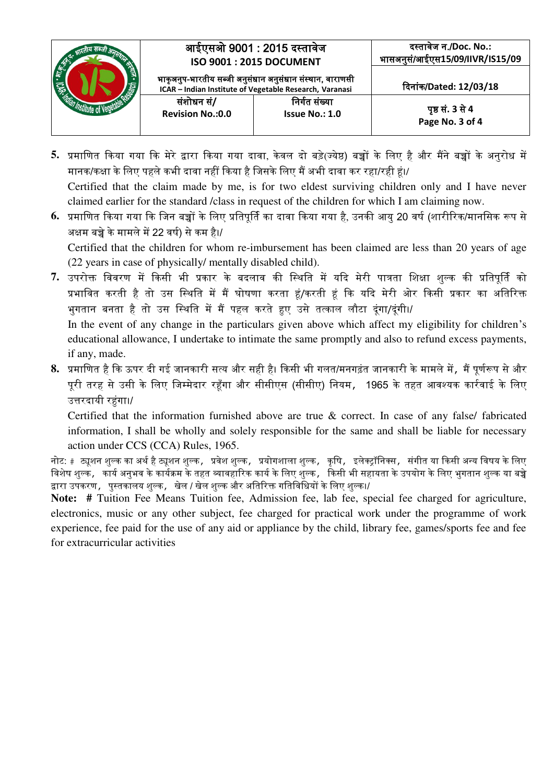

- **5.** प्रमानणत दकया र्या दक मेरे द्वारा दकया र्या दावा, के वल दो बडे(ज्येष्ठ) बच्चों के नलए है और मैंने बच्चों के अनुरोध में मानक/कक्षा के नलए पहले कभी दावा नहीं दकया है नजसके नलए मैं अभी दावा कर रहा/रही हं।/ Certified that the claim made by me, is for two eldest surviving children only and I have never claimed earlier for the standard /class in request of the children for which I am claiming now.
- **6.** प्रमानणत दकया र्या दक नजन बच्चों के नलए प्रनतपूर्तग का दावा दकया र्या है, उनकी आयु 20 वर्ग (शारीररक/माननसक रूप से अक्षम बच्चे के मामले में 22 वर्ग) से कम है।/ Certified that the children for whom re-imbursement has been claimed are less than 20 years of age

(22 years in case of physically/ mentally disabled child).

7. उपरोक्त विवरण में किसी भी प्रकार के बदलाव की स्थिति में यदि मेरी पात्रता शिक्षा शुल्क की प्रतिपूर्ति को प्रभावित करती है तो उस स्थिति में मैं घोषणा करता हूं/करती हूं कि यदि मेरी ओर किसी प्रकार का अतिरिक्त भुगतान बनता है तो उस स्थिति में मैं पहल करते हुए उसे तत्काल लौटा दूंगा/दूंगी।/ In the event of any change in the particulars given above which affect my eligibility for children's

educational allowance, I undertake to intimate the same promptly and also to refund excess payments, if any, made.

8. प्रमाणित है कि ऊपर दी गई जानकारी सत्य और सही है। किसी भी गलत/मनगढ़ंत जानकारी के मामले में, मैं पूर्णरूप से और पूरी तरह से उसी के लिए जिम्मेदार रहूँगा और सीसीएस (सीसीए) नियम, 1965 के तहत आवश्यक कार्रवाई के लिए उत्तरदायी रहुंगा।/

Certified that the information furnished above are true & correct. In case of any false/ fabricated information, I shall be wholly and solely responsible for the same and shall be liable for necessary action under CCS (CCA) Rules, 1965.

नोट: #ट्यूशन शुल्क का अर्थ है ट्यूशन शुल्क, प्रवेश शुल्क, प्रयोगशाला शुल्क, कृषि, इलेक्ट्रॉनिक्स, संगीत या किसी अन्य विषय के लिए विशेष शुल्क, कार्य अनुभव के कार्यक्रम के तहत व्यावहारिक कार्य के लिए शुल्क, किसी भी सहायता के उपयोग के लिए भुगतान शुल्क या बच्चे द्वारा उपकरण, पुस्तकालय शुल्क, खेल / खेल शुल्क और अतिरिक्त गतिविधियों के लिए शुल्क।/

Note: # Tuition Fee Means Tuition fee, Admission fee, lab fee, special fee charged for agriculture, electronics, music or any other subject, fee charged for practical work under the programme of work experience, fee paid for the use of any aid or appliance by the child, library fee, games/sports fee and fee for extracurricular activities